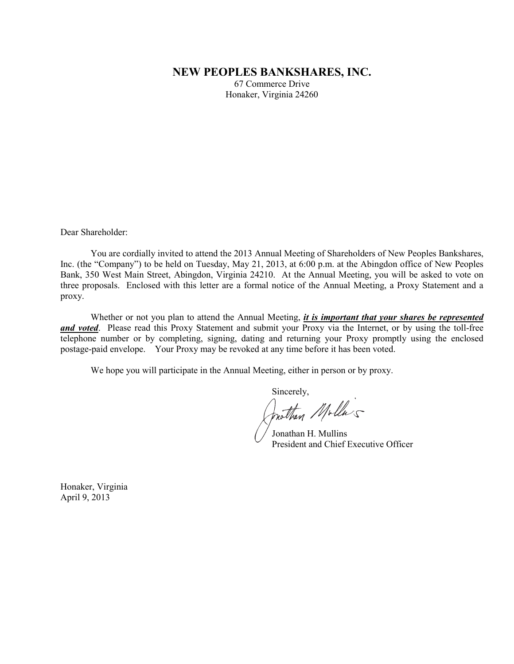# **NEW PEOPLES BANKSHARES, INC.**

67 Commerce Drive Honaker, Virginia 24260

Dear Shareholder:

You are cordially invited to attend the 2013 Annual Meeting of Shareholders of New Peoples Bankshares, Inc. (the "Company") to be held on Tuesday, May 21, 2013, at 6:00 p.m. at the Abingdon office of New Peoples Bank, 350 West Main Street, Abingdon, Virginia 24210. At the Annual Meeting, you will be asked to vote on three proposals. Enclosed with this letter are a formal notice of the Annual Meeting, a Proxy Statement and a proxy.

Whether or not you plan to attend the Annual Meeting, *it is important that your shares be represented and voted*. Please read this Proxy Statement and submit your Proxy via the Internet, or by using the toll-free telephone number or by completing, signing, dating and returning your Proxy promptly using the enclosed postage-paid envelope. Your Proxy may be revoked at any time before it has been voted.

We hope you will participate in the Annual Meeting, either in person or by proxy.

Sincerely,<br>Jonatham Molla's

Jonathan H. Mullins President and Chief Executive Officer

Honaker, Virginia April 9, 2013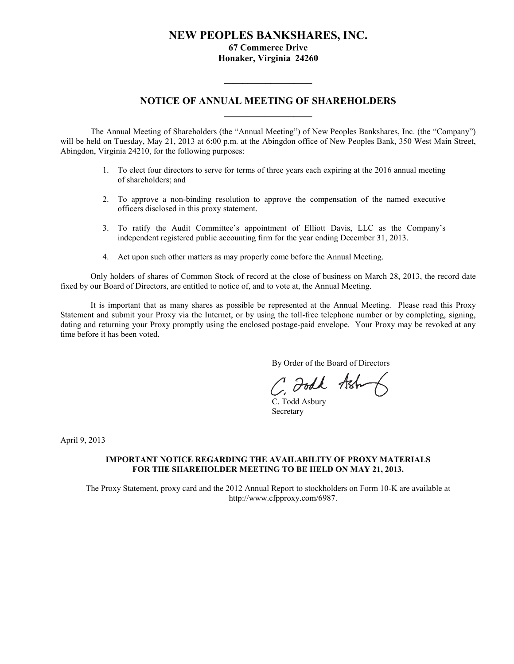# **NEW PEOPLES BANKSHARES, INC. 67 Commerce Drive Honaker, Virginia 24260**

# **NOTICE OF ANNUAL MEETING OF SHAREHOLDERS \_\_\_\_\_\_\_\_\_\_\_\_\_\_\_\_\_\_\_**

**\_\_\_\_\_\_\_\_\_\_\_\_\_\_\_\_\_\_\_**

The Annual Meeting of Shareholders (the "Annual Meeting") of New Peoples Bankshares, Inc. (the "Company") will be held on Tuesday, May 21, 2013 at 6:00 p.m. at the Abingdon office of New Peoples Bank, 350 West Main Street, Abingdon, Virginia 24210, for the following purposes:

- 1. To elect four directors to serve for terms of three years each expiring at the 2016 annual meeting of shareholders; and
- 2. To approve a non-binding resolution to approve the compensation of the named executive officers disclosed in this proxy statement.
- 3. To ratify the Audit Committee's appointment of Elliott Davis, LLC as the Company's independent registered public accounting firm for the year ending December 31, 2013.
- 4. Act upon such other matters as may properly come before the Annual Meeting.

Only holders of shares of Common Stock of record at the close of business on March 28, 2013, the record date fixed by our Board of Directors, are entitled to notice of, and to vote at, the Annual Meeting.

It is important that as many shares as possible be represented at the Annual Meeting. Please read this Proxy Statement and submit your Proxy via the Internet, or by using the toll-free telephone number or by completing, signing, dating and returning your Proxy promptly using the enclosed postage-paid envelope. Your Proxy may be revoked at any time before it has been voted.

By Order of the Board of Directors

C Foodk Ash

C. Todd Asbury Secretary

April 9, 2013

# **IMPORTANT NOTICE REGARDING THE AVAILABILITY OF PROXY MATERIALS FOR THE SHAREHOLDER MEETING TO BE HELD ON MAY 21, 2013.**

The Proxy Statement, proxy card and the 2012 Annual Report to stockholders on Form 10-K are available at http://www.cfpproxy.com/6987.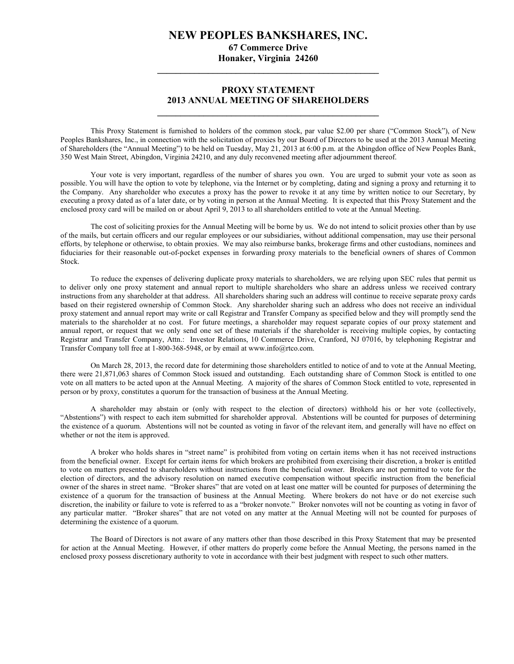# **NEW PEOPLES BANKSHARES, INC. 67 Commerce Drive**

**Honaker, Virginia 24260 \_\_\_\_\_\_\_\_\_\_\_\_\_\_\_\_\_\_\_\_\_\_\_\_\_\_\_\_\_\_\_\_\_\_\_\_\_\_\_\_\_\_\_\_\_\_\_\_**

# **PROXY STATEMENT 2013 ANNUAL MEETING OF SHAREHOLDERS \_\_\_\_\_\_\_\_\_\_\_\_\_\_\_\_\_\_\_\_\_\_\_\_\_\_\_\_\_\_\_\_\_\_\_\_\_\_\_\_\_\_\_\_\_\_\_\_**

This Proxy Statement is furnished to holders of the common stock, par value \$2.00 per share ("Common Stock"), of New Peoples Bankshares, Inc., in connection with the solicitation of proxies by our Board of Directors to be used at the 2013 Annual Meeting of Shareholders (the "Annual Meeting") to be held on Tuesday, May 21, 2013 at 6:00 p.m. at the Abingdon office of New Peoples Bank, 350 West Main Street, Abingdon, Virginia 24210, and any duly reconvened meeting after adjournment thereof.

Your vote is very important, regardless of the number of shares you own. You are urged to submit your vote as soon as possible. You will have the option to vote by telephone, via the Internet or by completing, dating and signing a proxy and returning it to the Company. Any shareholder who executes a proxy has the power to revoke it at any time by written notice to our Secretary, by executing a proxy dated as of a later date, or by voting in person at the Annual Meeting. It is expected that this Proxy Statement and the enclosed proxy card will be mailed on or about April 9, 2013 to all shareholders entitled to vote at the Annual Meeting.

The cost of soliciting proxies for the Annual Meeting will be borne by us. We do not intend to solicit proxies other than by use of the mails, but certain officers and our regular employees or our subsidiaries, without additional compensation, may use their personal efforts, by telephone or otherwise, to obtain proxies. We may also reimburse banks, brokerage firms and other custodians, nominees and fiduciaries for their reasonable out-of-pocket expenses in forwarding proxy materials to the beneficial owners of shares of Common Stock.

To reduce the expenses of delivering duplicate proxy materials to shareholders, we are relying upon SEC rules that permit us to deliver only one proxy statement and annual report to multiple shareholders who share an address unless we received contrary instructions from any shareholder at that address. All shareholders sharing such an address will continue to receive separate proxy cards based on their registered ownership of Common Stock. Any shareholder sharing such an address who does not receive an individual proxy statement and annual report may write or call Registrar and Transfer Company as specified below and they will promptly send the materials to the shareholder at no cost. For future meetings, a shareholder may request separate copies of our proxy statement and annual report, or request that we only send one set of these materials if the shareholder is receiving multiple copies, by contacting Registrar and Transfer Company, Attn.: Investor Relations, 10 Commerce Drive, Cranford, NJ 07016, by telephoning Registrar and Transfer Company toll free at 1-800-368-5948, or by email at www.info@rtco.com.

On March 28, 2013, the record date for determining those shareholders entitled to notice of and to vote at the Annual Meeting, there were 21,871,063 shares of Common Stock issued and outstanding. Each outstanding share of Common Stock is entitled to one vote on all matters to be acted upon at the Annual Meeting. A majority of the shares of Common Stock entitled to vote, represented in person or by proxy, constitutes a quorum for the transaction of business at the Annual Meeting.

A shareholder may abstain or (only with respect to the election of directors) withhold his or her vote (collectively, "Abstentions") with respect to each item submitted for shareholder approval. Abstentions will be counted for purposes of determining the existence of a quorum. Abstentions will not be counted as voting in favor of the relevant item, and generally will have no effect on whether or not the item is approved.

A broker who holds shares in "street name" is prohibited from voting on certain items when it has not received instructions from the beneficial owner. Except for certain items for which brokers are prohibited from exercising their discretion, a broker is entitled to vote on matters presented to shareholders without instructions from the beneficial owner. Brokers are not permitted to vote for the election of directors, and the advisory resolution on named executive compensation without specific instruction from the beneficial owner of the shares in street name. "Broker shares" that are voted on at least one matter will be counted for purposes of determining the existence of a quorum for the transaction of business at the Annual Meeting. Where brokers do not have or do not exercise such discretion, the inability or failure to vote is referred to as a "broker nonvote." Broker nonvotes will not be counting as voting in favor of any particular matter. "Broker shares" that are not voted on any matter at the Annual Meeting will not be counted for purposes of determining the existence of a quorum.

The Board of Directors is not aware of any matters other than those described in this Proxy Statement that may be presented for action at the Annual Meeting. However, if other matters do properly come before the Annual Meeting, the persons named in the enclosed proxy possess discretionary authority to vote in accordance with their best judgment with respect to such other matters.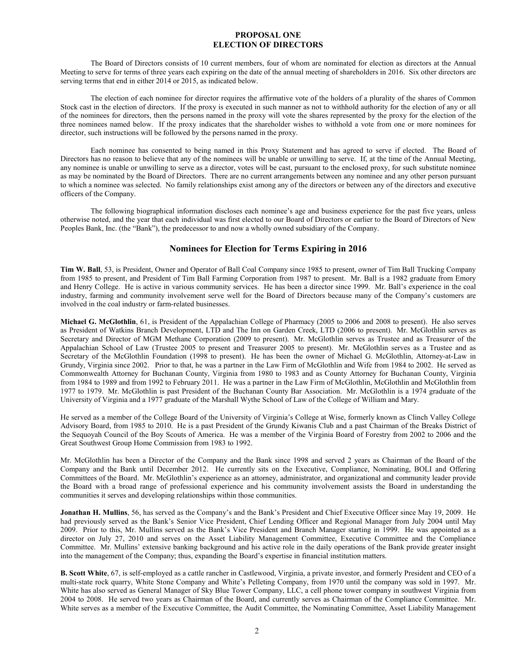# **PROPOSAL ONE ELECTION OF DIRECTORS**

The Board of Directors consists of 10 current members, four of whom are nominated for election as directors at the Annual Meeting to serve for terms of three years each expiring on the date of the annual meeting of shareholders in 2016. Six other directors are serving terms that end in either 2014 or 2015, as indicated below.

The election of each nominee for director requires the affirmative vote of the holders of a plurality of the shares of Common Stock cast in the election of directors. If the proxy is executed in such manner as not to withhold authority for the election of any or all of the nominees for directors, then the persons named in the proxy will vote the shares represented by the proxy for the election of the three nominees named below. If the proxy indicates that the shareholder wishes to withhold a vote from one or more nominees for director, such instructions will be followed by the persons named in the proxy.

Each nominee has consented to being named in this Proxy Statement and has agreed to serve if elected. The Board of Directors has no reason to believe that any of the nominees will be unable or unwilling to serve. If, at the time of the Annual Meeting, any nominee is unable or unwilling to serve as a director, votes will be cast, pursuant to the enclosed proxy, for such substitute nominee as may be nominated by the Board of Directors. There are no current arrangements between any nominee and any other person pursuant to which a nominee was selected. No family relationships exist among any of the directors or between any of the directors and executive officers of the Company.

The following biographical information discloses each nominee's age and business experience for the past five years, unless otherwise noted, and the year that each individual was first elected to our Board of Directors or earlier to the Board of Directors of New Peoples Bank, Inc. (the "Bank"), the predecessor to and now a wholly owned subsidiary of the Company.

# **Nominees for Election for Terms Expiring in 2016**

**Tim W. Ball**, 53, is President, Owner and Operator of Ball Coal Company since 1985 to present, owner of Tim Ball Trucking Company from 1985 to present, and President of Tim Ball Farming Corporation from 1987 to present. Mr. Ball is a 1982 graduate from Emory and Henry College. He is active in various community services. He has been a director since 1999. Mr. Ball's experience in the coal industry, farming and community involvement serve well for the Board of Directors because many of the Company's customers are involved in the coal industry or farm-related businesses.

**Michael G. McGlothlin**, 61, is President of the Appalachian College of Pharmacy (2005 to 2006 and 2008 to present). He also serves as President of Watkins Branch Development, LTD and The Inn on Garden Creek, LTD (2006 to present). Mr. McGlothlin serves as Secretary and Director of MGM Methane Corporation (2009 to present). Mr. McGlothlin serves as Trustee and as Treasurer of the Appalachian School of Law (Trustee 2005 to present and Treasurer 2005 to present). Mr. McGlothlin serves as a Trustee and as Secretary of the McGlothlin Foundation (1998 to present). He has been the owner of Michael G. McGlothlin, Attorney-at-Law in Grundy, Virginia since 2002. Prior to that, he was a partner in the Law Firm of McGlothlin and Wife from 1984 to 2002. He served as Commonwealth Attorney for Buchanan County, Virginia from 1980 to 1983 and as County Attorney for Buchanan County, Virginia from 1984 to 1989 and from 1992 to February 2011. He was a partner in the Law Firm of McGlothlin, McGlothlin and McGlothlin from 1977 to 1979. Mr. McGlothlin is past President of the Buchanan County Bar Association. Mr. McGlothlin is a 1974 graduate of the University of Virginia and a 1977 graduate of the Marshall Wythe School of Law of the College of William and Mary.

He served as a member of the College Board of the University of Virginia's College at Wise, formerly known as Clinch Valley College Advisory Board, from 1985 to 2010. He is a past President of the Grundy Kiwanis Club and a past Chairman of the Breaks District of the Sequoyah Council of the Boy Scouts of America. He was a member of the Virginia Board of Forestry from 2002 to 2006 and the Great Southwest Group Home Commission from 1983 to 1992.

Mr. McGlothlin has been a Director of the Company and the Bank since 1998 and served 2 years as Chairman of the Board of the Company and the Bank until December 2012. He currently sits on the Executive, Compliance, Nominating, BOLI and Offering Committees of the Board. Mr. McGlothlin's experience as an attorney, administrator, and organizational and community leader provide the Board with a broad range of professional experience and his community involvement assists the Board in understanding the communities it serves and developing relationships within those communities.

**Jonathan H. Mullins**, 56, has served as the Company's and the Bank's President and Chief Executive Officer since May 19, 2009. He had previously served as the Bank's Senior Vice President, Chief Lending Officer and Regional Manager from July 2004 until May 2009. Prior to this, Mr. Mullins served as the Bank's Vice President and Branch Manager starting in 1999. He was appointed as a director on July 27, 2010 and serves on the Asset Liability Management Committee, Executive Committee and the Compliance Committee. Mr. Mullins' extensive banking background and his active role in the daily operations of the Bank provide greater insight into the management of the Company; thus, expanding the Board's expertise in financial institution matters.

**B. Scott White**, 67, is self-employed as a cattle rancher in Castlewood, Virginia, a private investor, and formerly President and CEO of a multi-state rock quarry, White Stone Company and White's Pelleting Company, from 1970 until the company was sold in 1997. Mr. White has also served as General Manager of Sky Blue Tower Company, LLC, a cell phone tower company in southwest Virginia from 2004 to 2008. He served two years as Chairman of the Board, and currently serves as Chairman of the Compliance Committee. Mr. White serves as a member of the Executive Committee, the Audit Committee, the Nominating Committee, Asset Liability Management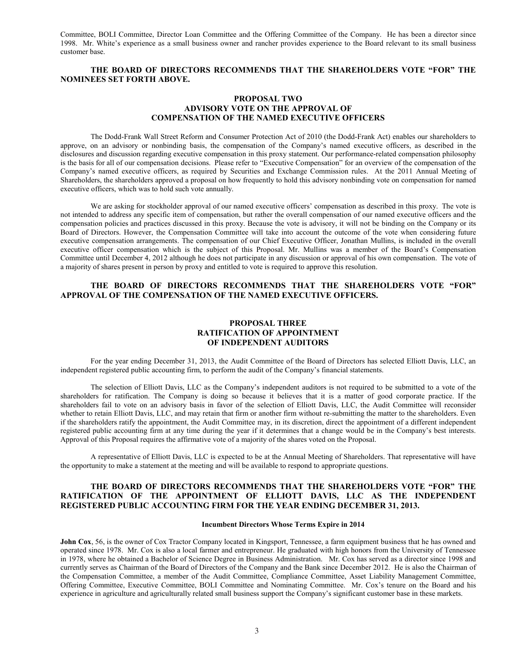Committee, BOLI Committee, Director Loan Committee and the Offering Committee of the Company. He has been a director since 1998. Mr. White's experience as a small business owner and rancher provides experience to the Board relevant to its small business customer base.

# **THE BOARD OF DIRECTORS RECOMMENDS THAT THE SHAREHOLDERS VOTE "FOR" THE NOMINEES SET FORTH ABOVE.**

# **PROPOSAL TWO ADVISORY VOTE ON THE APPROVAL OF COMPENSATION OF THE NAMED EXECUTIVE OFFICERS**

The Dodd-Frank Wall Street Reform and Consumer Protection Act of 2010 (the Dodd-Frank Act) enables our shareholders to approve, on an advisory or nonbinding basis, the compensation of the Company's named executive officers, as described in the disclosures and discussion regarding executive compensation in this proxy statement. Our performance-related compensation philosophy is the basis for all of our compensation decisions. Please refer to "Executive Compensation" for an overview of the compensation of the Company's named executive officers, as required by Securities and Exchange Commission rules. At the 2011 Annual Meeting of Shareholders, the shareholders approved a proposal on how frequently to hold this advisory nonbinding vote on compensation for named executive officers, which was to hold such vote annually.

We are asking for stockholder approval of our named executive officers' compensation as described in this proxy. The vote is not intended to address any specific item of compensation, but rather the overall compensation of our named executive officers and the compensation policies and practices discussed in this proxy. Because the vote is advisory, it will not be binding on the Company or its Board of Directors. However, the Compensation Committee will take into account the outcome of the vote when considering future executive compensation arrangements. The compensation of our Chief Executive Officer, Jonathan Mullins, is included in the overall executive officer compensation which is the subject of this Proposal. Mr. Mullins was a member of the Board's Compensation Committee until December 4, 2012 although he does not participate in any discussion or approval of his own compensation. The vote of a majority of shares present in person by proxy and entitled to vote is required to approve this resolution.

# **THE BOARD OF DIRECTORS RECOMMENDS THAT THE SHAREHOLDERS VOTE "FOR" APPROVAL OF THE COMPENSATION OF THE NAMED EXECUTIVE OFFICERS.**

# **PROPOSAL THREE RATIFICATION OF APPOINTMENT OF INDEPENDENT AUDITORS**

For the year ending December 31, 2013, the Audit Committee of the Board of Directors has selected Elliott Davis, LLC, an independent registered public accounting firm, to perform the audit of the Company's financial statements.

The selection of Elliott Davis, LLC as the Company's independent auditors is not required to be submitted to a vote of the shareholders for ratification. The Company is doing so because it believes that it is a matter of good corporate practice. If the shareholders fail to vote on an advisory basis in favor of the selection of Elliott Davis, LLC, the Audit Committee will reconsider whether to retain Elliott Davis, LLC, and may retain that firm or another firm without re-submitting the matter to the shareholders. Even if the shareholders ratify the appointment, the Audit Committee may, in its discretion, direct the appointment of a different independent registered public accounting firm at any time during the year if it determines that a change would be in the Company's best interests. Approval of this Proposal requires the affirmative vote of a majority of the shares voted on the Proposal.

A representative of Elliott Davis, LLC is expected to be at the Annual Meeting of Shareholders. That representative will have the opportunity to make a statement at the meeting and will be available to respond to appropriate questions.

# **THE BOARD OF DIRECTORS RECOMMENDS THAT THE SHAREHOLDERS VOTE "FOR" THE RATIFICATION OF THE APPOINTMENT OF ELLIOTT DAVIS, LLC AS THE INDEPENDENT REGISTERED PUBLIC ACCOUNTING FIRM FOR THE YEAR ENDING DECEMBER 31, 2013.**

## **Incumbent Directors Whose Terms Expire in 2014**

**John Cox**, 56, is the owner of Cox Tractor Company located in Kingsport, Tennessee, a farm equipment business that he has owned and operated since 1978. Mr. Cox is also a local farmer and entrepreneur. He graduated with high honors from the University of Tennessee in 1978, where he obtained a Bachelor of Science Degree in Business Administration. Mr. Cox has served as a director since 1998 and currently serves as Chairman of the Board of Directors of the Company and the Bank since December 2012. He is also the Chairman of the Compensation Committee, a member of the Audit Committee, Compliance Committee, Asset Liability Management Committee, Offering Committee, Executive Committee, BOLI Committee and Nominating Committee. Mr. Cox's tenure on the Board and his experience in agriculture and agriculturally related small business support the Company's significant customer base in these markets.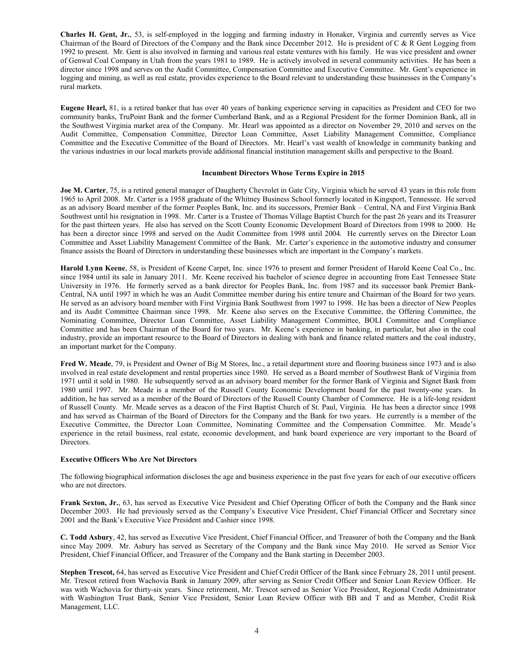**Charles H. Gent, Jr.**, 53, is self-employed in the logging and farming industry in Honaker, Virginia and currently serves as Vice Chairman of the Board of Directors of the Company and the Bank since December 2012. He is president of C & R Gent Logging from 1992 to present. Mr. Gent is also involved in farming and various real estate ventures with his family. He was vice president and owner of Genwal Coal Company in Utah from the years 1981 to 1989. He is actively involved in several community activities. He has been a director since 1998 and serves on the Audit Committee, Compensation Committee and Executive Committee. Mr. Gent's experience in logging and mining, as well as real estate, provides experience to the Board relevant to understanding these businesses in the Company's rural markets.

**Eugene Hearl,** 81, is a retired banker that has over 40 years of banking experience serving in capacities as President and CEO for two community banks, TruPoint Bank and the former Cumberland Bank, and as a Regional President for the former Dominion Bank, all in the Southwest Virginia market area of the Company. Mr. Hearl was appointed as a director on November 29, 2010 and serves on the Audit Committee, Compensation Committee, Director Loan Committee, Asset Liability Management Committee, Compliance Committee and the Executive Committee of the Board of Directors. Mr. Hearl's vast wealth of knowledge in community banking and the various industries in our local markets provide additional financial institution management skills and perspective to the Board.

### **Incumbent Directors Whose Terms Expire in 2015**

**Joe M. Carter**, 75, is a retired general manager of Daugherty Chevrolet in Gate City, Virginia which he served 43 years in this role from 1965 to April 2008. Mr. Carter is a 1958 graduate of the Whitney Business School formerly located in Kingsport, Tennessee. He served as an advisory Board member of the former Peoples Bank, Inc. and its successors, Premier Bank – Central, NA and First Virginia Bank Southwest until his resignation in 1998. Mr. Carter is a Trustee of Thomas Village Baptist Church for the past 26 years and its Treasurer for the past thirteen years. He also has served on the Scott County Economic Development Board of Directors from 1998 to 2000. He has been a director since 1998 and served on the Audit Committee from 1998 until 2004. He currently serves on the Director Loan Committee and Asset Liability Management Committee of the Bank. Mr. Carter's experience in the automotive industry and consumer finance assists the Board of Directors in understanding these businesses which are important in the Company's markets.

**Harold Lynn Keene**, 58, is President of Keene Carpet, Inc. since 1976 to present and former President of Harold Keene Coal Co., Inc. since 1984 until its sale in January 2011. Mr. Keene received his bachelor of science degree in accounting from East Tennessee State University in 1976. He formerly served as a bank director for Peoples Bank, Inc. from 1987 and its successor bank Premier Bank-Central, NA until 1997 in which he was an Audit Committee member during his entire tenure and Chairman of the Board for two years. He served as an advisory board member with First Virginia Bank Southwest from 1997 to 1998. He has been a director of New Peoples and its Audit Committee Chairman since 1998. Mr. Keene also serves on the Executive Committee, the Offering Committee, the Nominating Committee, Director Loan Committee, Asset Liability Management Committee, BOLI Committee and Compliance Committee and has been Chairman of the Board for two years. Mr. Keene's experience in banking, in particular, but also in the coal industry, provide an important resource to the Board of Directors in dealing with bank and finance related matters and the coal industry, an important market for the Company.

**Fred W. Meade**, 79, is President and Owner of Big M Stores, Inc., a retail department store and flooring business since 1973 and is also involved in real estate development and rental properties since 1980. He served as a Board member of Southwest Bank of Virginia from 1971 until it sold in 1980. He subsequently served as an advisory board member for the former Bank of Virginia and Signet Bank from 1980 until 1997. Mr. Meade is a member of the Russell County Economic Development board for the past twenty-one years. In addition, he has served as a member of the Board of Directors of the Russell County Chamber of Commerce. He is a life-long resident of Russell County. Mr. Meade serves as a deacon of the First Baptist Church of St. Paul, Virginia. He has been a director since 1998 and has served as Chairman of the Board of Directors for the Company and the Bank for two years. He currently is a member of the Executive Committee, the Director Loan Committee, Nominating Committee and the Compensation Committee. Mr. Meade's experience in the retail business, real estate, economic development, and bank board experience are very important to the Board of Directors.

#### **Executive Officers Who Are Not Directors**

The following biographical information discloses the age and business experience in the past five years for each of our executive officers who are not directors.

**Frank Sexton, Jr.**, 63, has served as Executive Vice President and Chief Operating Officer of both the Company and the Bank since December 2003. He had previously served as the Company's Executive Vice President, Chief Financial Officer and Secretary since 2001 and the Bank's Executive Vice President and Cashier since 1998.

**C. Todd Asbury**, 42, has served as Executive Vice President, Chief Financial Officer, and Treasurer of both the Company and the Bank since May 2009. Mr. Asbury has served as Secretary of the Company and the Bank since May 2010. He served as Senior Vice President, Chief Financial Officer, and Treasurer of the Company and the Bank starting in December 2003.

**Stephen Trescot,** 64, has served as Executive Vice President and Chief Credit Officer of the Bank since February 28, 2011 until present. Mr. Trescot retired from Wachovia Bank in January 2009, after serving as Senior Credit Officer and Senior Loan Review Officer. He was with Wachovia for thirty-six years. Since retirement, Mr. Trescot served as Senior Vice President, Regional Credit Administrator with Washington Trust Bank, Senior Vice President, Senior Loan Review Officer with BB and T and as Member, Credit Risk Management, LLC.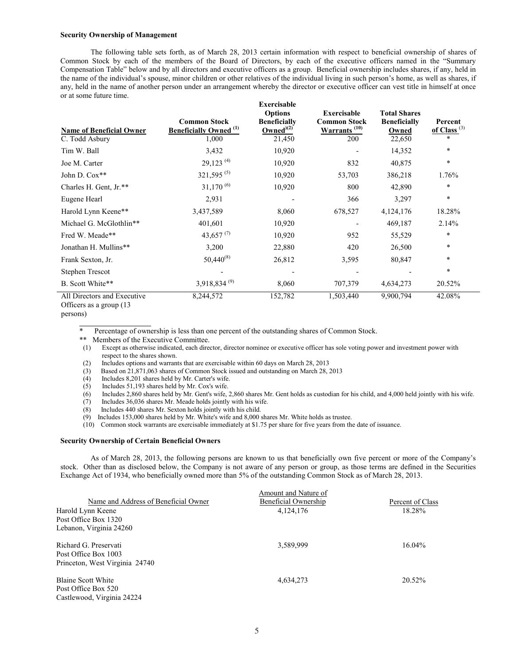#### **Security Ownership of Management**

The following table sets forth, as of March 28, 2013 certain information with respect to beneficial ownership of shares of Common Stock by each of the members of the Board of Directors, by each of the executive officers named in the "Summary Compensation Table" below and by all directors and executive officers as a group. Beneficial ownership includes shares, if any, held in the name of the individual's spouse, minor children or other relatives of the individual living in such person's home, as well as shares, if any, held in the name of another person under an arrangement whereby the director or executive officer can vest title in himself at once or at some future time. **Exercisable** 

| <b>Name of Beneficial Owner</b><br>C. Todd Asbury | <b>Common Stock</b><br><b>Beneficially Owned</b> <sup>(1)</sup><br>1,000 | <b>Exercisable</b><br><b>Options</b><br><b>Beneficially</b><br>Owned $(2)$<br>21,450 | <b>Exercisable</b><br><b>Common Stock</b><br>$\frac{\text{Warrants} (10)}{1}$<br>200 | <b>Total Shares</b><br><b>Beneficially</b><br>Owned<br>22,650 | Percent<br>of Class <sup>(3)</sup><br>$\ast$ |
|---------------------------------------------------|--------------------------------------------------------------------------|--------------------------------------------------------------------------------------|--------------------------------------------------------------------------------------|---------------------------------------------------------------|----------------------------------------------|
| Tim W. Ball                                       | 3,432                                                                    | 10,920                                                                               |                                                                                      | 14,352                                                        | $\ast$                                       |
| Joe M. Carter                                     | $29,123$ <sup>(4)</sup>                                                  | 10,920                                                                               | 832                                                                                  | 40,875                                                        | $\ast$                                       |
| John D. Cox**                                     | $321,595^{(5)}$                                                          | 10,920                                                                               | 53,703                                                                               | 386,218                                                       | 1.76%                                        |
| Charles H. Gent, Jr.**                            | $31,170^{(6)}$                                                           | 10,920                                                                               | 800                                                                                  | 42,890                                                        | $\ast$                                       |
| Eugene Hearl                                      | 2,931                                                                    |                                                                                      | 366                                                                                  | 3,297                                                         | $\ast$                                       |
| Harold Lynn Keene**                               | 3,437,589                                                                | 8,060                                                                                | 678,527                                                                              | 4,124,176                                                     | 18.28%                                       |
| Michael G. McGlothlin**                           | 401,601                                                                  | 10,920                                                                               |                                                                                      | 469,187                                                       | 2.14%                                        |
| Fred W. Meade**                                   | 43,657 $(7)$                                                             | 10,920                                                                               | 952                                                                                  | 55,529                                                        | $\ast$                                       |
| Jonathan H. Mullins**                             | 3,200                                                                    | 22,880                                                                               | 420                                                                                  | 26,500                                                        | $\ast$                                       |
| Frank Sexton, Jr.                                 | $50,440^{(8)}$                                                           | 26,812                                                                               | 3,595                                                                                | 80,847                                                        | $\ast$                                       |
| Stephen Trescot                                   |                                                                          |                                                                                      |                                                                                      |                                                               | $\ast$                                       |
| B. Scott White**                                  | $3,918,834^{(9)}$                                                        | 8,060                                                                                | 707,379                                                                              | 4,634,273                                                     | 20.52%                                       |
| All Directors and Executive<br>$\sim$ $\sim$      | 8,244,572                                                                | 152,782                                                                              | 1,503,440                                                                            | 9,900,794                                                     | 42.08%                                       |

Officers as a group (13

Percentage of ownership is less than one percent of the outstanding shares of Common Stock.

\*\* Members of the Executive Committee.

(1) Except as otherwise indicated, each director, director nominee or executive officer has sole voting power and investment power with respect to the shares shown.

(2) Includes options and warrants that are exercisable within 60 days on March 28, 2013

(3) Based on 21,871,063 shares of Common Stock issued and outstanding on March 28, 2013

- (4) Includes 8,201 shares held by Mr. Carter's wife.
- (5) Includes 51,193 shares held by Mr. Cox's wife.
- $(6)$  Includes 2,860 shares held by Mr. Gent's wife, 2,860 shares Mr. Gent holds as custodian for his child, and 4,000 held jointly with his wife.

 $(7)$  Includes 36,036 shares Mr. Meade holds jointly with his wife.

(8) Includes 440 shares Mr. Sexton holds jointly with his child.

(9) Includes 153,000 shares held by Mr. White's wife and 8,000 shares Mr. White holds as trustee.

(10) Common stock warrants are exercisable immediately at \$1.75 per share for five years from the date of issuance.

### **Security Ownership of Certain Beneficial Owners**

As of March 28, 2013, the following persons are known to us that beneficially own five percent or more of the Company's stock. Other than as disclosed below, the Company is not aware of any person or group, as those terms are defined in the Securities Exchange Act of 1934, who beneficially owned more than 5% of the outstanding Common Stock as of March 28, 2013.

|                                      | Amount and Nature of |                  |  |  |
|--------------------------------------|----------------------|------------------|--|--|
| Name and Address of Beneficial Owner | Beneficial Ownership | Percent of Class |  |  |
| Harold Lynn Keene                    | 4, 124, 176          | 18.28%           |  |  |
| Post Office Box 1320                 |                      |                  |  |  |
| Lebanon, Virginia 24260              |                      |                  |  |  |
| Richard G. Preservati                | 3,589,999            | 16.04%           |  |  |
| Post Office Box 1003                 |                      |                  |  |  |
| Princeton, West Virginia 24740       |                      |                  |  |  |
| Blaine Scott White                   | 4,634,273            | 20.52%           |  |  |
| Post Office Box 520                  |                      |                  |  |  |
| Castlewood, Virginia 24224           |                      |                  |  |  |

persons)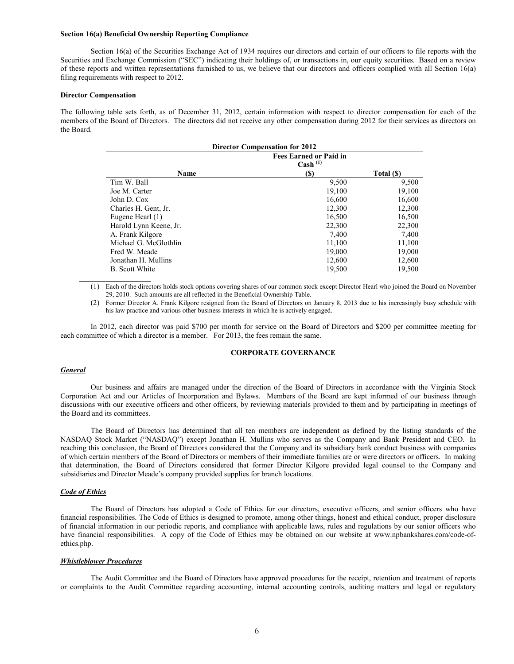### **Section 16(a) Beneficial Ownership Reporting Compliance**

Section 16(a) of the Securities Exchange Act of 1934 requires our directors and certain of our officers to file reports with the Securities and Exchange Commission ("SEC") indicating their holdings of, or transactions in, our equity securities. Based on a review of these reports and written representations furnished to us, we believe that our directors and officers complied with all Section 16(a) filing requirements with respect to 2012.

#### **Director Compensation**

The following table sets forth, as of December 31, 2012, certain information with respect to director compensation for each of the members of the Board of Directors. The directors did not receive any other compensation during 2012 for their services as directors on the Board.

| <b>Director Compensation for 2012</b> |                                                      |            |  |  |  |
|---------------------------------------|------------------------------------------------------|------------|--|--|--|
|                                       | <b>Fees Earned or Paid in</b><br>$\text{Cash}^{(1)}$ |            |  |  |  |
| Name                                  | <b>(\$)</b>                                          | Total (\$) |  |  |  |
| Tim W. Ball                           | 9,500                                                | 9,500      |  |  |  |
| Joe M. Carter                         | 19,100                                               | 19,100     |  |  |  |
| John D. Cox                           | 16,600                                               | 16,600     |  |  |  |
| Charles H. Gent, Jr.                  | 12,300                                               | 12,300     |  |  |  |
| Eugene Hearl (1)                      | 16,500                                               | 16,500     |  |  |  |
| Harold Lynn Keene, Jr.                | 22,300                                               | 22,300     |  |  |  |
| A. Frank Kilgore                      | 7,400                                                | 7,400      |  |  |  |
| Michael G. McGlothlin                 | 11,100                                               | 11,100     |  |  |  |
| Fred W. Meade                         | 19,000                                               | 19,000     |  |  |  |
| Jonathan H. Mullins                   | 12,600                                               | 12,600     |  |  |  |
| <b>B.</b> Scott White                 | 19,500                                               | 19,500     |  |  |  |

(1) Each of the directors holds stock options covering shares of our common stock except Director Hearl who joined the Board on November 29, 2010. Such amounts are all reflected in the Beneficial Ownership Table.

(2) Former Director A. Frank Kilgore resigned from the Board of Directors on January 8, 2013 due to his increasingly busy schedule with his law practice and various other business interests in which he is actively engaged.

In 2012, each director was paid \$700 per month for service on the Board of Directors and \$200 per committee meeting for each committee of which a director is a member. For 2013, the fees remain the same.

## **CORPORATE GOVERNANCE**

#### *General*

Our business and affairs are managed under the direction of the Board of Directors in accordance with the Virginia Stock Corporation Act and our Articles of Incorporation and Bylaws. Members of the Board are kept informed of our business through discussions with our executive officers and other officers, by reviewing materials provided to them and by participating in meetings of the Board and its committees.

The Board of Directors has determined that all ten members are independent as defined by the listing standards of the NASDAQ Stock Market ("NASDAQ") except Jonathan H. Mullins who serves as the Company and Bank President and CEO. In reaching this conclusion, the Board of Directors considered that the Company and its subsidiary bank conduct business with companies of which certain members of the Board of Directors or members of their immediate families are or were directors or officers. In making that determination, the Board of Directors considered that former Director Kilgore provided legal counsel to the Company and subsidiaries and Director Meade's company provided supplies for branch locations.

#### *Code of Ethics*

The Board of Directors has adopted a Code of Ethics for our directors, executive officers, and senior officers who have financial responsibilities. The Code of Ethics is designed to promote, among other things, honest and ethical conduct, proper disclosure of financial information in our periodic reports, and compliance with applicable laws, rules and regulations by our senior officers who have financial responsibilities. A copy of the Code of Ethics may be obtained on our website at www.npbankshares.com/code-ofethics.php.

#### *Whistleblower Procedures*

The Audit Committee and the Board of Directors have approved procedures for the receipt, retention and treatment of reports or complaints to the Audit Committee regarding accounting, internal accounting controls, auditing matters and legal or regulatory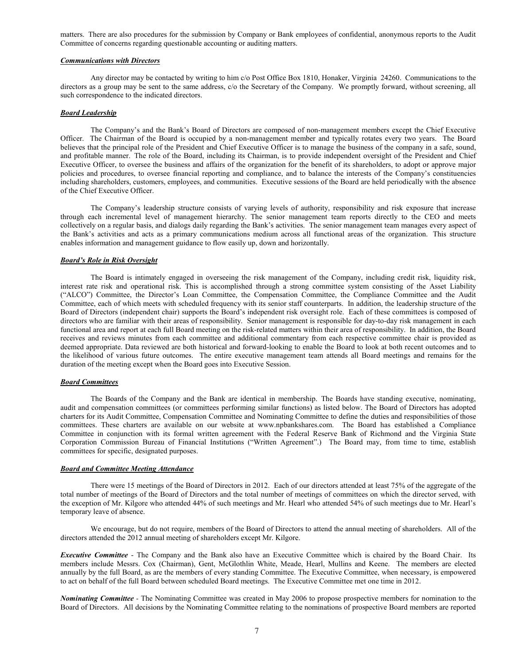matters. There are also procedures for the submission by Company or Bank employees of confidential, anonymous reports to the Audit Committee of concerns regarding questionable accounting or auditing matters.

#### *Communications with Directors*

Any director may be contacted by writing to him c/o Post Office Box 1810, Honaker, Virginia 24260. Communications to the directors as a group may be sent to the same address, c/o the Secretary of the Company. We promptly forward, without screening, all such correspondence to the indicated directors.

#### *Board Leadership*

The Company's and the Bank's Board of Directors are composed of non-management members except the Chief Executive Officer. The Chairman of the Board is occupied by a non-management member and typically rotates every two years. The Board believes that the principal role of the President and Chief Executive Officer is to manage the business of the company in a safe, sound, and profitable manner. The role of the Board, including its Chairman, is to provide independent oversight of the President and Chief Executive Officer, to oversee the business and affairs of the organization for the benefit of its shareholders, to adopt or approve major policies and procedures, to oversee financial reporting and compliance, and to balance the interests of the Company's constituencies including shareholders, customers, employees, and communities. Executive sessions of the Board are held periodically with the absence of the Chief Executive Officer.

The Company's leadership structure consists of varying levels of authority, responsibility and risk exposure that increase through each incremental level of management hierarchy. The senior management team reports directly to the CEO and meets collectively on a regular basis, and dialogs daily regarding the Bank's activities. The senior management team manages every aspect of the Bank's activities and acts as a primary communications medium across all functional areas of the organization. This structure enables information and management guidance to flow easily up, down and horizontally.

## *Board's Role in Risk Oversight*

The Board is intimately engaged in overseeing the risk management of the Company, including credit risk, liquidity risk, interest rate risk and operational risk. This is accomplished through a strong committee system consisting of the Asset Liability ("ALCO") Committee, the Director's Loan Committee, the Compensation Committee, the Compliance Committee and the Audit Committee, each of which meets with scheduled frequency with its senior staff counterparts. In addition, the leadership structure of the Board of Directors (independent chair) supports the Board's independent risk oversight role. Each of these committees is composed of directors who are familiar with their areas of responsibility. Senior management is responsible for day-to-day risk management in each functional area and report at each full Board meeting on the risk-related matters within their area of responsibility. In addition, the Board receives and reviews minutes from each committee and additional commentary from each respective committee chair is provided as deemed appropriate. Data reviewed are both historical and forward-looking to enable the Board to look at both recent outcomes and to the likelihood of various future outcomes. The entire executive management team attends all Board meetings and remains for the duration of the meeting except when the Board goes into Executive Session.

### *Board Committees*

The Boards of the Company and the Bank are identical in membership. The Boards have standing executive, nominating, audit and compensation committees (or committees performing similar functions) as listed below. The Board of Directors has adopted charters for its Audit Committee, Compensation Committee and Nominating Committee to define the duties and responsibilities of those committees. These charters are available on our website at www.npbankshares.com. The Board has established a Compliance Committee in conjunction with its formal written agreement with the Federal Reserve Bank of Richmond and the Virginia State Corporation Commission Bureau of Financial Institutions ("Written Agreement".) The Board may, from time to time, establish committees for specific, designated purposes.

#### *Board and Committee Meeting Attendance*

There were 15 meetings of the Board of Directors in 2012. Each of our directors attended at least 75% of the aggregate of the total number of meetings of the Board of Directors and the total number of meetings of committees on which the director served, with the exception of Mr. Kilgore who attended 44% of such meetings and Mr. Hearl who attended 54% of such meetings due to Mr. Hearl's temporary leave of absence.

We encourage, but do not require, members of the Board of Directors to attend the annual meeting of shareholders. All of the directors attended the 2012 annual meeting of shareholders except Mr. Kilgore.

*Executive Committee* - The Company and the Bank also have an Executive Committee which is chaired by the Board Chair. Its members include Messrs. Cox (Chairman), Gent, McGlothlin White, Meade, Hearl, Mullins and Keene. The members are elected annually by the full Board, as are the members of every standing Committee. The Executive Committee, when necessary, is empowered to act on behalf of the full Board between scheduled Board meetings. The Executive Committee met one time in 2012.

*Nominating Committee -* The Nominating Committee was created in May 2006 to propose prospective members for nomination to the Board of Directors. All decisions by the Nominating Committee relating to the nominations of prospective Board members are reported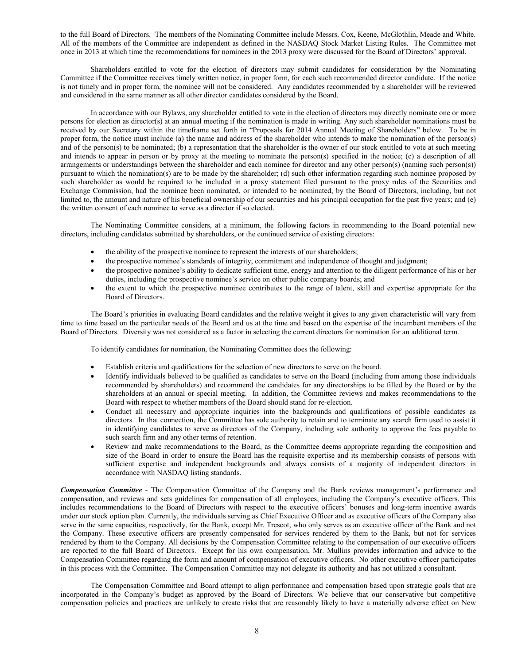to the full Board of Directors. The members of the Nominating Committee include Messrs. Cox, Keene, McGlothlin, Meade and White. All of the members of the Committee are independent as defined in the NASDAQ Stock Market Listing Rules. The Committee met once in 2013 at which time the recommendations for nominees in the 2013 proxy were discussed for the Board of Directors' approval.

Shareholders entitled to vote for the election of directors may submit candidates for consideration by the Nominating Committee if the Committee receives timely written notice, in proper form, for each such recommended director candidate. If the notice is not timely and in proper form, the nominee will not be considered. Any candidates recommended by a shareholder will be reviewed and considered in the same manner as all other director candidates considered by the Board.

In accordance with our Bylaws, any shareholder entitled to vote in the election of directors may directly nominate one or more persons for election as director(s) at an annual meeting if the nomination is made in writing. Any such shareholder nominations must be received by our Secretary within the timeframe set forth in "Proposals for 2014 Annual Meeting of Shareholders" below. To be in proper form, the notice must include (a) the name and address of the shareholder who intends to make the nomination of the person(s) and of the person(s) to be nominated; (b) a representation that the shareholder is the owner of our stock entitled to vote at such meeting and intends to appear in person or by proxy at the meeting to nominate the person(s) specified in the notice; (c) a description of all arrangements or understandings between the shareholder and each nominee for director and any other person(s) (naming such person(s)) pursuant to which the nomination(s) are to be made by the shareholder; (d) such other information regarding such nominee proposed by such shareholder as would be required to be included in a proxy statement filed pursuant to the proxy rules of the Securities and Exchange Commission, had the nominee been nominated, or intended to be nominated, by the Board of Directors, including, but not limited to, the amount and nature of his beneficial ownership of our securities and his principal occupation for the past five years; and (e) the written consent of each nominee to serve as a director if so elected.

The Nominating Committee considers, at a minimum, the following factors in recommending to the Board potential new directors, including candidates submitted by shareholders, or the continued service of existing directors:

- the ability of the prospective nominee to represent the interests of our shareholders;
- the prospective nominee's standards of integrity, commitment and independence of thought and judgment;
- the prospective nominee's ability to dedicate sufficient time, energy and attention to the diligent performance of his or her duties, including the prospective nominee's service on other public company boards; and
- the extent to which the prospective nominee contributes to the range of talent, skill and expertise appropriate for the Board of Directors.

The Board's priorities in evaluating Board candidates and the relative weight it gives to any given characteristic will vary from time to time based on the particular needs of the Board and us at the time and based on the expertise of the incumbent members of the Board of Directors. Diversity was not considered as a factor in selecting the current directors for nomination for an additional term.

To identify candidates for nomination, the Nominating Committee does the following:

- Establish criteria and qualifications for the selection of new directors to serve on the board.
- Identify individuals believed to be qualified as candidates to serve on the Board (including from among those individuals recommended by shareholders) and recommend the candidates for any directorships to be filled by the Board or by the shareholders at an annual or special meeting. In addition, the Committee reviews and makes recommendations to the Board with respect to whether members of the Board should stand for re-election.
- Conduct all necessary and appropriate inquiries into the backgrounds and qualifications of possible candidates as directors. In that connection, the Committee has sole authority to retain and to terminate any search firm used to assist it in identifying candidates to serve as directors of the Company, including sole authority to approve the fees payable to such search firm and any other terms of retention.
- Review and make recommendations to the Board, as the Committee deems appropriate regarding the composition and size of the Board in order to ensure the Board has the requisite expertise and its membership consists of persons with sufficient expertise and independent backgrounds and always consists of a majority of independent directors in accordance with NASDAQ listing standards.

*Compensation Committee -* The Compensation Committee of the Company and the Bank reviews management's performance and compensation, and reviews and sets guidelines for compensation of all employees, including the Company's executive officers. This includes recommendations to the Board of Directors with respect to the executive officers' bonuses and long-term incentive awards under our stock option plan. Currently, the individuals serving as Chief Executive Officer and as executive officers of the Company also serve in the same capacities, respectively, for the Bank, except Mr. Trescot, who only serves as an executive officer of the Bank and not the Company. These executive officers are presently compensated for services rendered by them to the Bank, but not for services rendered by them to the Company. All decisions by the Compensation Committee relating to the compensation of our executive officers are reported to the full Board of Directors. Except for his own compensation, Mr. Mullins provides information and advice to the Compensation Committee regarding the form and amount of compensation of executive officers. No other executive officer participates in this process with the Committee. The Compensation Committee may not delegate its authority and has not utilized a consultant.

The Compensation Committee and Board attempt to align performance and compensation based upon strategic goals that are incorporated in the Company's budget as approved by the Board of Directors. We believe that our conservative but competitive compensation policies and practices are unlikely to create risks that are reasonably likely to have a materially adverse effect on New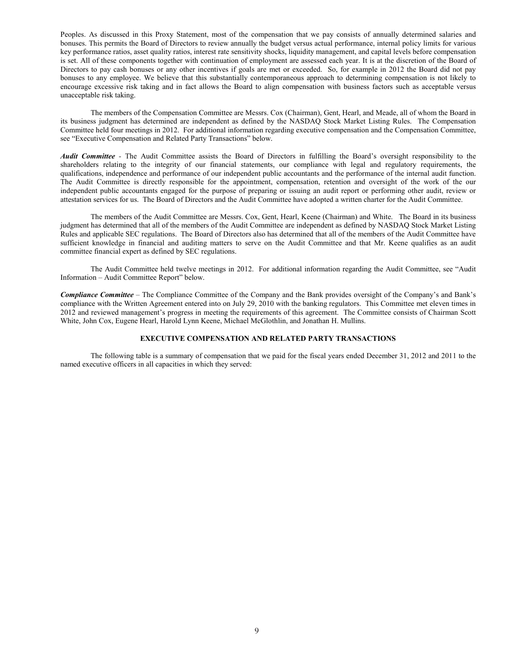Peoples. As discussed in this Proxy Statement, most of the compensation that we pay consists of annually determined salaries and bonuses. This permits the Board of Directors to review annually the budget versus actual performance, internal policy limits for various key performance ratios, asset quality ratios, interest rate sensitivity shocks, liquidity management, and capital levels before compensation is set. All of these components together with continuation of employment are assessed each year. It is at the discretion of the Board of Directors to pay cash bonuses or any other incentives if goals are met or exceeded. So, for example in 2012 the Board did not pay bonuses to any employee. We believe that this substantially contemporaneous approach to determining compensation is not likely to encourage excessive risk taking and in fact allows the Board to align compensation with business factors such as acceptable versus unacceptable risk taking.

The members of the Compensation Committee are Messrs. Cox (Chairman), Gent, Hearl, and Meade, all of whom the Board in its business judgment has determined are independent as defined by the NASDAQ Stock Market Listing Rules. The Compensation Committee held four meetings in 2012. For additional information regarding executive compensation and the Compensation Committee, see "Executive Compensation and Related Party Transactions" below.

*Audit Committee -* The Audit Committee assists the Board of Directors in fulfilling the Board's oversight responsibility to the shareholders relating to the integrity of our financial statements, our compliance with legal and regulatory requirements, the qualifications, independence and performance of our independent public accountants and the performance of the internal audit function. The Audit Committee is directly responsible for the appointment, compensation, retention and oversight of the work of the our independent public accountants engaged for the purpose of preparing or issuing an audit report or performing other audit, review or attestation services for us. The Board of Directors and the Audit Committee have adopted a written charter for the Audit Committee.

The members of the Audit Committee are Messrs. Cox, Gent, Hearl, Keene (Chairman) and White. The Board in its business judgment has determined that all of the members of the Audit Committee are independent as defined by NASDAQ Stock Market Listing Rules and applicable SEC regulations. The Board of Directors also has determined that all of the members of the Audit Committee have sufficient knowledge in financial and auditing matters to serve on the Audit Committee and that Mr. Keene qualifies as an audit committee financial expert as defined by SEC regulations.

The Audit Committee held twelve meetings in 2012. For additional information regarding the Audit Committee, see "Audit Information – Audit Committee Report" below.

*Compliance Committee* – The Compliance Committee of the Company and the Bank provides oversight of the Company's and Bank's compliance with the Written Agreement entered into on July 29, 2010 with the banking regulators. This Committee met eleven times in 2012 and reviewed management's progress in meeting the requirements of this agreement. The Committee consists of Chairman Scott White, John Cox, Eugene Hearl, Harold Lynn Keene, Michael McGlothlin, and Jonathan H. Mullins.

### **EXECUTIVE COMPENSATION AND RELATED PARTY TRANSACTIONS**

The following table is a summary of compensation that we paid for the fiscal years ended December 31, 2012 and 2011 to the named executive officers in all capacities in which they served: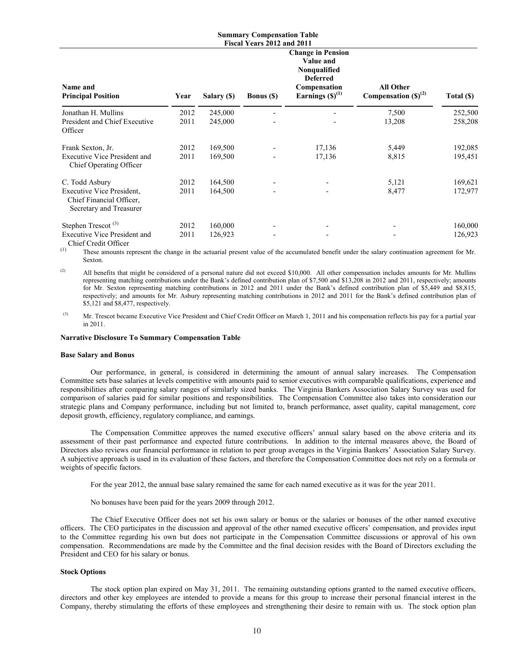|                                                                                                           |              |                    | <b>Summary Compensation Table</b>               |                                                                                                                  |                                              |                    |
|-----------------------------------------------------------------------------------------------------------|--------------|--------------------|-------------------------------------------------|------------------------------------------------------------------------------------------------------------------|----------------------------------------------|--------------------|
| Name and<br><b>Principal Position</b>                                                                     | Year         | Salary (\$)        | Fiscal Years 2012 and 2011<br><b>Bonus</b> (\$) | <b>Change in Pension</b><br>Value and<br>Nonqualified<br><b>Deferred</b><br>Compensation<br>Earnings $(S)^{(1)}$ | <b>All Other</b><br>Compensation $(S)^{(2)}$ | Total (\$)         |
| Jonathan H. Mullins<br>President and Chief Executive<br>Officer                                           | 2012<br>2011 | 245,000<br>245,000 |                                                 |                                                                                                                  | 7,500<br>13,208                              | 252,500<br>258,208 |
| Frank Sexton, Jr.<br><b>Executive Vice President and</b><br>Chief Operating Officer                       | 2012<br>2011 | 169,500<br>169,500 |                                                 | 17,136<br>17,136                                                                                                 | 5,449<br>8,815                               | 192,085<br>195,451 |
| C. Todd Asbury<br><b>Executive Vice President,</b><br>Chief Financial Officer,<br>Secretary and Treasurer | 2012<br>2011 | 164,500<br>164,500 |                                                 |                                                                                                                  | 5,121<br>8,477                               | 169,621<br>172,977 |
| Stephen Trescot <sup>(3)</sup><br><b>Executive Vice President and</b><br>Chief Credit Officer             | 2012<br>2011 | 160,000<br>126,923 |                                                 |                                                                                                                  |                                              | 160,000<br>126,923 |

These amounts represent the change in the actuarial present value of the accumulated benefit under the salary continuation agreement for Mr. Sexton.

(2) All benefits that might be considered of a personal nature did not exceed \$10,000. All other compensation includes amounts for Mr. Mullins representing matching contributions under the Bank's defined contribution plan of \$7,500 and \$13,208 in 2012 and 2011, respectively; amounts for Mr. Sexton representing matching contributions in 2012 and 2011 under the Bank's defined contribution plan of \$5,449 and \$8,815, respectively; and amounts for Mr. Asbury representing matching contributions in 2012 and 2011 for the Bank's defined contribution plan of \$5,121 and \$8,477, respectively.

<sup>(3)</sup> Mr. Trescot became Executive Vice President and Chief Credit Officer on March 1, 2011 and his compensation reflects his pay for a partial year in 2011.

### **Narrative Disclosure To Summary Compensation Table**

#### **Base Salary and Bonus**

Our performance, in general, is considered in determining the amount of annual salary increases. The Compensation Committee sets base salaries at levels competitive with amounts paid to senior executives with comparable qualifications, experience and responsibilities after comparing salary ranges of similarly sized banks. The Virginia Bankers Association Salary Survey was used for comparison of salaries paid for similar positions and responsibilities. The Compensation Committee also takes into consideration our strategic plans and Company performance, including but not limited to, branch performance, asset quality, capital management, core deposit growth, efficiency, regulatory compliance, and earnings.

The Compensation Committee approves the named executive officers' annual salary based on the above criteria and its assessment of their past performance and expected future contributions. In addition to the internal measures above, the Board of Directors also reviews our financial performance in relation to peer group averages in the Virginia Bankers' Association Salary Survey. A subjective approach is used in its evaluation of these factors, and therefore the Compensation Committee does not rely on a formula or weights of specific factors.

For the year 2012, the annual base salary remained the same for each named executive as it was for the year 2011.

No bonuses have been paid for the years 2009 through 2012.

The Chief Executive Officer does not set his own salary or bonus or the salaries or bonuses of the other named executive officers. The CEO participates in the discussion and approval of the other named executive officers' compensation, and provides input to the Committee regarding his own but does not participate in the Compensation Committee discussions or approval of his own compensation. Recommendations are made by the Committee and the final decision resides with the Board of Directors excluding the President and CEO for his salary or bonus.

## **Stock Options**

The stock option plan expired on May 31, 2011. The remaining outstanding options granted to the named executive officers, directors and other key employees are intended to provide a means for this group to increase their personal financial interest in the Company, thereby stimulating the efforts of these employees and strengthening their desire to remain with us. The stock option plan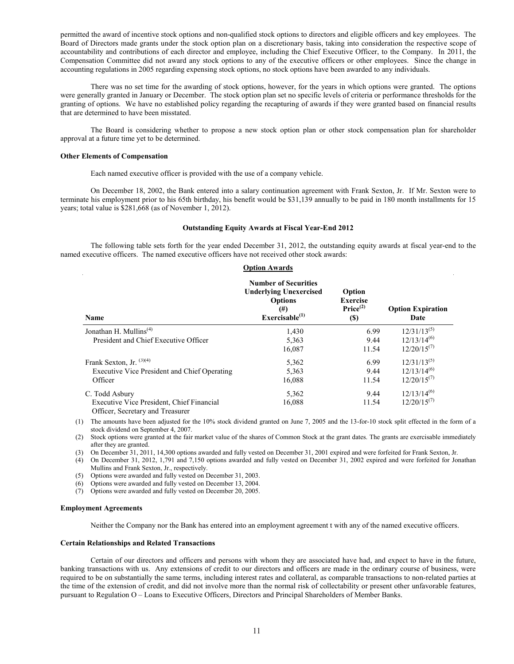permitted the award of incentive stock options and non-qualified stock options to directors and eligible officers and key employees. The Board of Directors made grants under the stock option plan on a discretionary basis, taking into consideration the respective scope of accountability and contributions of each director and employee, including the Chief Executive Officer, to the Company. In 2011, the Compensation Committee did not award any stock options to any of the executive officers or other employees. Since the change in accounting regulations in 2005 regarding expensing stock options, no stock options have been awarded to any individuals.

There was no set time for the awarding of stock options, however, for the years in which options were granted. The options were generally granted in January or December. The stock option plan set no specific levels of criteria or performance thresholds for the granting of options. We have no established policy regarding the recapturing of awards if they were granted based on financial results that are determined to have been misstated.

The Board is considering whether to propose a new stock option plan or other stock compensation plan for shareholder approval at a future time yet to be determined.

#### **Other Elements of Compensation**

Each named executive officer is provided with the use of a company vehicle.

On December 18, 2002, the Bank entered into a salary continuation agreement with Frank Sexton, Jr. If Mr. Sexton were to terminate his employment prior to his 65th birthday, his benefit would be \$31,139 annually to be paid in 180 month installments for 15 years; total value is \$281,668 (as of November 1, 2012).

## **Outstanding Equity Awards at Fiscal Year-End 2012**

The following table sets forth for the year ended December 31, 2012, the outstanding equity awards at fiscal year-end to the named executive officers. The named executive officers have not received other stock awards:

| <b>Option Awards</b>                                                                            |                                                                                                                           |                                                                 |                                                          |  |  |
|-------------------------------------------------------------------------------------------------|---------------------------------------------------------------------------------------------------------------------------|-----------------------------------------------------------------|----------------------------------------------------------|--|--|
| Name                                                                                            | <b>Number of Securities</b><br><b>Underlying Unexercised</b><br><b>Options</b><br>$^{(#)}$<br>Exerciseable <sup>(1)</sup> | Option<br><b>Exercise</b><br>Price <sup>(2)</sup><br><b>(S)</b> | <b>Option Expiration</b><br>Date                         |  |  |
| Jonathan H. Mullins <sup><math>(4)</math></sup><br>President and Chief Executive Officer        | 1,430<br>5,363<br>16,087                                                                                                  | 6.99<br>9.44<br>11.54                                           | $12/31/13^{(5)}$<br>$12/13/14^{(6)}$<br>$12/20/15^{(7)}$ |  |  |
| Frank Sexton, Jr. $(3)(4)$<br>Executive Vice President and Chief Operating<br>Officer           | 5,362<br>5,363<br>16,088                                                                                                  | 6.99<br>9.44<br>11.54                                           | $12/31/13^{(5)}$<br>$12/13/14^{(6)}$<br>$12/20/15^{(7)}$ |  |  |
| C. Todd Asbury<br>Executive Vice President, Chief Financial<br>Officer, Secretary and Treasurer | 5,362<br>16,088                                                                                                           | 9.44<br>11.54                                                   | $12/13/14^{(6)}$<br>$12/20/15^{(7)}$                     |  |  |

(1) The amounts have been adjusted for the 10% stock dividend granted on June 7, 2005 and the 13-for-10 stock split effected in the form of a stock dividend on September 4, 2007.

(2) Stock options were granted at the fair market value of the shares of Common Stock at the grant dates. The grants are exercisable immediately after they are granted.

(3) On December 31, 2011, 14,300 options awarded and fully vested on December 31, 2001 expired and were forfeited for Frank Sexton, Jr.

(4) On December 31, 2012, 1,791 and 7,150 options awarded and fully vested on December 31, 2002 expired and were forfeited for Jonathan Mullins and Frank Sexton, Jr., respectively.

(5) Options were awarded and fully vested on December 31, 2003.

(6) Options were awarded and fully vested on December 13, 2004.

(7) Options were awarded and fully vested on December 20, 2005.

#### **Employment Agreements**

Neither the Company nor the Bank has entered into an employment agreement t with any of the named executive officers.

### **Certain Relationships and Related Transactions**

Certain of our directors and officers and persons with whom they are associated have had, and expect to have in the future, banking transactions with us. Any extensions of credit to our directors and officers are made in the ordinary course of business, were required to be on substantially the same terms, including interest rates and collateral, as comparable transactions to non-related parties at the time of the extension of credit, and did not involve more than the normal risk of collectability or present other unfavorable features, pursuant to Regulation O – Loans to Executive Officers, Directors and Principal Shareholders of Member Banks.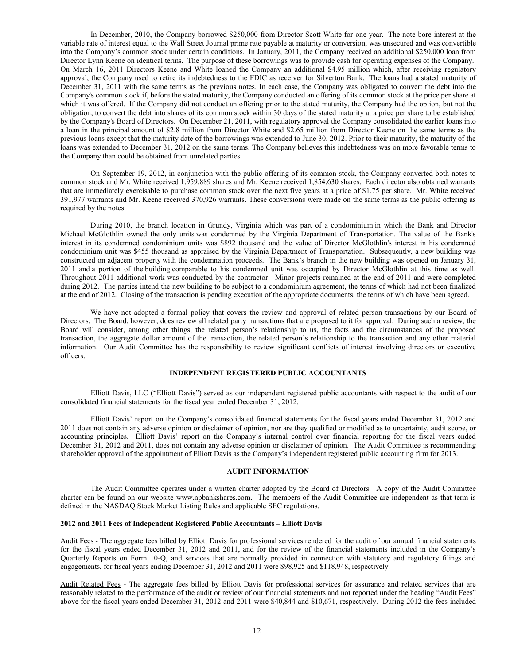In December, 2010, the Company borrowed \$250,000 from Director Scott White for one year. The note bore interest at the variable rate of interest equal to the Wall Street Journal prime rate payable at maturity or conversion, was unsecured and was convertible into the Company's common stock under certain conditions. In January, 2011, the Company received an additional \$250,000 loan from Director Lynn Keene on identical terms. The purpose of these borrowings was to provide cash for operating expenses of the Company. On March 16, 2011 Directors Keene and White loaned the Company an additional \$4.95 million which, after receiving regulatory approval, the Company used to retire its indebtedness to the FDIC as receiver for Silverton Bank. The loans had a stated maturity of December 31, 2011 with the same terms as the previous notes. In each case, the Company was obligated to convert the debt into the Company's common stock if, before the stated maturity, the Company conducted an offering of its common stock at the price per share at which it was offered. If the Company did not conduct an offering prior to the stated maturity, the Company had the option, but not the obligation, to convert the debt into shares of its common stock within 30 days of the stated maturity at a price per share to be established by the Company's Board of Directors. On December 21, 2011, with regulatory approval the Company consolidated the earlier loans into a loan in the principal amount of \$2.8 million from Director White and \$2.65 million from Director Keene on the same terms as the previous loans except that the maturity date of the borrowings was extended to June 30, 2012. Prior to their maturity, the maturity of the loans was extended to December 31, 2012 on the same terms. The Company believes this indebtedness was on more favorable terms to the Company than could be obtained from unrelated parties.

On September 19, 2012, in conjunction with the public offering of its common stock, the Company converted both notes to common stock and Mr. White received 1,959,889 shares and Mr. Keene received 1,854,630 shares. Each director also obtained warrants that are immediately exercisable to purchase common stock over the next five years at a price of \$1.75 per share. Mr. White received 391,977 warrants and Mr. Keene received 370,926 warrants. These conversions were made on the same terms as the public offering as required by the notes.

During 2010, the branch location in Grundy, Virginia which was part of a condominium in which the Bank and Director Michael McGlothlin owned the only units was condemned by the Virginia Department of Transportation. The value of the Bank's interest in its condemned condominium units was \$892 thousand and the value of Director McGlothlin's interest in his condemned condominium unit was \$455 thousand as appraised by the Virginia Department of Transportation. Subsequently, a new building was constructed on adjacent property with the condemnation proceeds. The Bank's branch in the new building was opened on January 31, 2011 and a portion of the building comparable to his condemned unit was occupied by Director McGlothlin at this time as well. Throughout 2011 additional work was conducted by the contractor. Minor projects remained at the end of 2011 and were completed during 2012. The parties intend the new building to be subject to a condominium agreement, the terms of which had not been finalized at the end of 2012. Closing of the transaction is pending execution of the appropriate documents, the terms of which have been agreed.

We have not adopted a formal policy that covers the review and approval of related person transactions by our Board of Directors. The Board, however, does review all related party transactions that are proposed to it for approval. During such a review, the Board will consider, among other things, the related person's relationship to us, the facts and the circumstances of the proposed transaction, the aggregate dollar amount of the transaction, the related person's relationship to the transaction and any other material information. Our Audit Committee has the responsibility to review significant conflicts of interest involving directors or executive officers.

## **INDEPENDENT REGISTERED PUBLIC ACCOUNTANTS**

Elliott Davis, LLC ("Elliott Davis") served as our independent registered public accountants with respect to the audit of our consolidated financial statements for the fiscal year ended December 31, 2012.

Elliott Davis' report on the Company's consolidated financial statements for the fiscal years ended December 31, 2012 and 2011 does not contain any adverse opinion or disclaimer of opinion, nor are they qualified or modified as to uncertainty, audit scope, or accounting principles. Elliott Davis' report on the Company's internal control over financial reporting for the fiscal years ended December 31, 2012 and 2011, does not contain any adverse opinion or disclaimer of opinion. The Audit Committee is recommending shareholder approval of the appointment of Elliott Davis as the Company's independent registered public accounting firm for 2013.

### **AUDIT INFORMATION**

The Audit Committee operates under a written charter adopted by the Board of Directors. A copy of the Audit Committee charter can be found on our website www.npbankshares.com. The members of the Audit Committee are independent as that term is defined in the NASDAQ Stock Market Listing Rules and applicable SEC regulations.

#### **2012 and 2011 Fees of Independent Registered Public Accountants – Elliott Davis**

Audit Fees - The aggregate fees billed by Elliott Davis for professional services rendered for the audit of our annual financial statements for the fiscal years ended December 31, 2012 and 2011, and for the review of the financial statements included in the Company's Quarterly Reports on Form 10-Q, and services that are normally provided in connection with statutory and regulatory filings and engagements, for fiscal years ending December 31, 2012 and 2011 were \$98,925 and \$118,948, respectively.

Audit Related Fees - The aggregate fees billed by Elliott Davis for professional services for assurance and related services that are reasonably related to the performance of the audit or review of our financial statements and not reported under the heading "Audit Fees" above for the fiscal years ended December 31, 2012 and 2011 were \$40,844 and \$10,671, respectively. During 2012 the fees included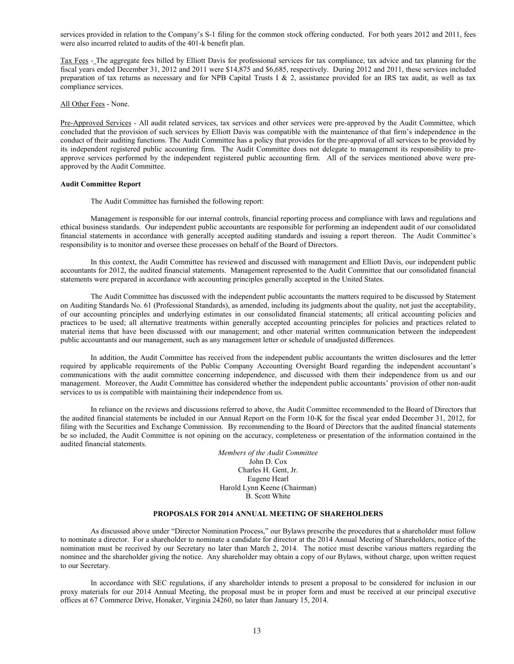services provided in relation to the Company's S-1 filing for the common stock offering conducted. For both years 2012 and 2011, fees were also incurred related to audits of the 401-k benefit plan.

Tax Fees - The aggregate fees billed by Elliott Davis for professional services for tax compliance, tax advice and tax planning for the fiscal years ended December 31, 2012 and 2011 were \$14,875 and \$6,685, respectively. During 2012 and 2011, these services included preparation of tax returns as necessary and for NPB Capital Trusts I & 2, assistance provided for an IRS tax audit, as well as tax compliance services.

All Other Fees - None.

Pre-Approved Services - All audit related services, tax services and other services were pre-approved by the Audit Committee, which concluded that the provision of such services by Elliott Davis was compatible with the maintenance of that firm's independence in the conduct of their auditing functions. The Audit Committee has a policy that provides for the pre-approval of all services to be provided by its independent registered public accounting firm. The Audit Committee does not delegate to management its responsibility to preapprove services performed by the independent registered public accounting firm. All of the services mentioned above were preapproved by the Audit Committee.

## **Audit Committee Report**

The Audit Committee has furnished the following report:

Management is responsible for our internal controls, financial reporting process and compliance with laws and regulations and ethical business standards. Our independent public accountants are responsible for performing an independent audit of our consolidated financial statements in accordance with generally accepted auditing standards and issuing a report thereon. The Audit Committee's responsibility is to monitor and oversee these processes on behalf of the Board of Directors.

In this context, the Audit Committee has reviewed and discussed with management and Elliott Davis, our independent public accountants for 2012, the audited financial statements. Management represented to the Audit Committee that our consolidated financial statements were prepared in accordance with accounting principles generally accepted in the United States.

The Audit Committee has discussed with the independent public accountants the matters required to be discussed by Statement on Auditing Standards No. 61 (Professional Standards), as amended, including its judgments about the quality, not just the acceptability, of our accounting principles and underlying estimates in our consolidated financial statements; all critical accounting policies and practices to be used; all alternative treatments within generally accepted accounting principles for policies and practices related to material items that have been discussed with our management; and other material written communication between the independent public accountants and our management, such as any management letter or schedule of unadjusted differences.

In addition, the Audit Committee has received from the independent public accountants the written disclosures and the letter required by applicable requirements of the Public Company Accounting Oversight Board regarding the independent accountant's communications with the audit committee concerning independence, and discussed with them their independence from us and our management. Moreover, the Audit Committee has considered whether the independent public accountants' provision of other non-audit services to us is compatible with maintaining their independence from us.

In reliance on the reviews and discussions referred to above, the Audit Committee recommended to the Board of Directors that the audited financial statements be included in our Annual Report on the Form 10-K for the fiscal year ended December 31, 2012, for filing with the Securities and Exchange Commission. By recommending to the Board of Directors that the audited financial statements be so included, the Audit Committee is not opining on the accuracy, completeness or presentation of the information contained in the audited financial statements.

> *Members of the Audit Committee* John D. Cox Charles H. Gent, Jr. Eugene Hearl Harold Lynn Keene (Chairman) B. Scott White

### **PROPOSALS FOR 2014 ANNUAL MEETING OF SHAREHOLDERS**

As discussed above under "Director Nomination Process," our Bylaws prescribe the procedures that a shareholder must follow to nominate a director. For a shareholder to nominate a candidate for director at the 2014 Annual Meeting of Shareholders, notice of the nomination must be received by our Secretary no later than March 2, 2014. The notice must describe various matters regarding the nominee and the shareholder giving the notice. Any shareholder may obtain a copy of our Bylaws, without charge, upon written request to our Secretary.

In accordance with SEC regulations, if any shareholder intends to present a proposal to be considered for inclusion in our proxy materials for our 2014 Annual Meeting, the proposal must be in proper form and must be received at our principal executive offices at 67 Commerce Drive, Honaker, Virginia 24260, no later than January 15, 2014.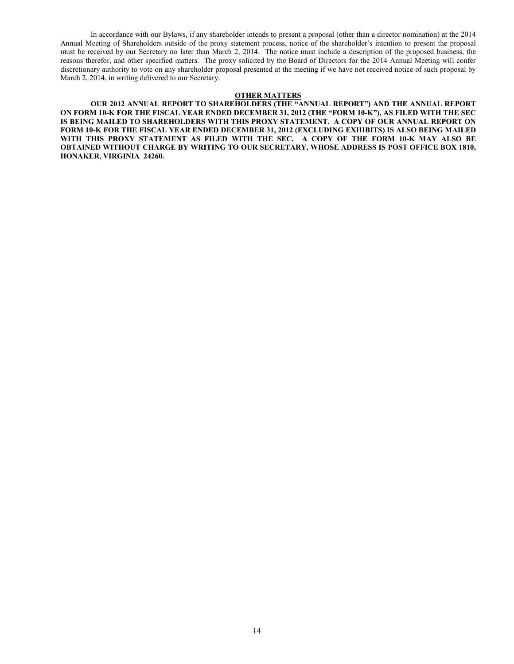In accordance with our Bylaws, if any shareholder intends to present a proposal (other than a director nomination) at the 2014 Annual Meeting of Shareholders outside of the proxy statement process, notice of the shareholder's intention to present the proposal must be received by our Secretary no later than March 2, 2014. The notice must include a description of the proposed business, the reasons therefor, and other specified matters. The proxy solicited by the Board of Directors for the 2014 Annual Meeting will confer discretionary authority to vote on any shareholder proposal presented at the meeting if we have not received notice of such proposal by March 2, 2014, in writing delivered to our Secretary.

### **OTHER MATTERS**

**OUR 2012 ANNUAL REPORT TO SHAREHOLDERS (THE "ANNUAL REPORT") AND THE ANNUAL REPORT ON FORM 10-K FOR THE FISCAL YEAR ENDED DECEMBER 31, 2012 (THE "FORM 10-K"), AS FILED WITH THE SEC IS BEING MAILED TO SHAREHOLDERS WITH THIS PROXY STATEMENT. A COPY OF OUR ANNUAL REPORT ON FORM 10-K FOR THE FISCAL YEAR ENDED DECEMBER 31, 2012 (EXCLUDING EXHIBITS) IS ALSO BEING MAILED WITH THIS PROXY STATEMENT AS FILED WITH THE SEC. A COPY OF THE FORM 10-K MAY ALSO BE OBTAINED WITHOUT CHARGE BY WRITING TO OUR SECRETARY, WHOSE ADDRESS IS POST OFFICE BOX 1810, HONAKER, VIRGINIA 24260.**